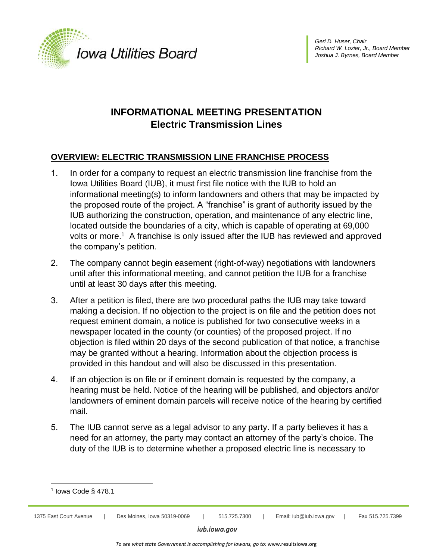

# **INFORMATIONAL MEETING PRESENTATION Electric Transmission Lines**

## **OVERVIEW: ELECTRIC TRANSMISSION LINE FRANCHISE PROCESS**

- 1. In order for a company to request an electric transmission line franchise from the Iowa Utilities Board (IUB), it must first file notice with the IUB to hold an informational meeting(s) to inform landowners and others that may be impacted by the proposed route of the project. A "franchise" is grant of authority issued by the IUB authorizing the construction, operation, and maintenance of any electric line, located outside the boundaries of a city, which is capable of operating at 69,000 volts or more.<sup>1</sup> A franchise is only issued after the IUB has reviewed and approved the company's petition.
- 2. The company cannot begin easement (right-of-way) negotiations with landowners until after this informational meeting, and cannot petition the IUB for a franchise until at least 30 days after this meeting.
- 3. After a petition is filed, there are two procedural paths the IUB may take toward making a decision. If no objection to the project is on file and the petition does not request eminent domain, a notice is published for two consecutive weeks in a newspaper located in the county (or counties) of the proposed project. If no objection is filed within 20 days of the second publication of that notice, a franchise may be granted without a hearing. Information about the objection process is provided in this handout and will also be discussed in this presentation.
- 4. If an objection is on file or if eminent domain is requested by the company, a hearing must be held. Notice of the hearing will be published, and objectors and/or landowners of eminent domain parcels will receive notice of the hearing by certified mail.
- 5. The IUB cannot serve as a legal advisor to any party. If a party believes it has a need for an attorney, the party may contact an attorney of the party's choice. The duty of the IUB is to determine whether a proposed electric line is necessary to



<sup>1</sup> Iowa Code § 478.1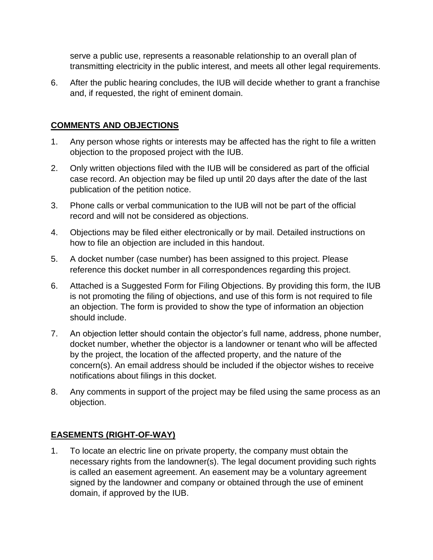serve a public use, represents a reasonable relationship to an overall plan of transmitting electricity in the public interest, and meets all other legal requirements.

6. After the public hearing concludes, the IUB will decide whether to grant a franchise and, if requested, the right of eminent domain.

#### **COMMENTS AND OBJECTIONS**

- 1. Any person whose rights or interests may be affected has the right to file a written objection to the proposed project with the IUB.
- 2. Only written objections filed with the IUB will be considered as part of the official case record. An objection may be filed up until 20 days after the date of the last publication of the petition notice.
- 3. Phone calls or verbal communication to the IUB will not be part of the official record and will not be considered as objections.
- 4. Objections may be filed either electronically or by mail. Detailed instructions on how to file an objection are included in this handout.
- 5. A docket number (case number) has been assigned to this project. Please reference this docket number in all correspondences regarding this project.
- 6. Attached is a Suggested Form for Filing Objections. By providing this form, the IUB is not promoting the filing of objections, and use of this form is not required to file an objection. The form is provided to show the type of information an objection should include.
- 7. An objection letter should contain the objector's full name, address, phone number, docket number, whether the objector is a landowner or tenant who will be affected by the project, the location of the affected property, and the nature of the concern(s). An email address should be included if the objector wishes to receive notifications about filings in this docket.
- 8. Any comments in support of the project may be filed using the same process as an objection.

## **EASEMENTS (RIGHT-OF-WAY)**

1. To locate an electric line on private property, the company must obtain the necessary rights from the landowner(s). The legal document providing such rights is called an easement agreement. An easement may be a voluntary agreement signed by the landowner and company or obtained through the use of eminent domain, if approved by the IUB.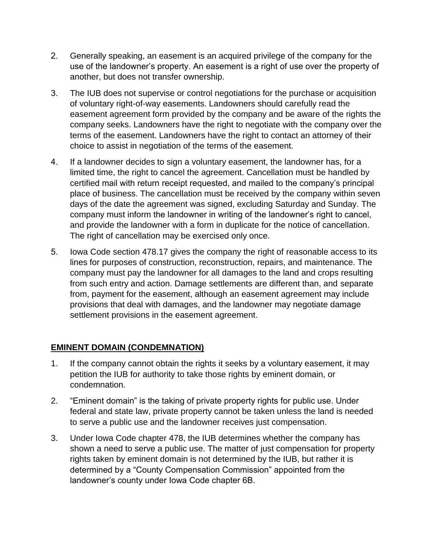- 2. Generally speaking, an easement is an acquired privilege of the company for the use of the landowner's property. An easement is a right of use over the property of another, but does not transfer ownership.
- 3. The IUB does not supervise or control negotiations for the purchase or acquisition of voluntary right-of-way easements. Landowners should carefully read the easement agreement form provided by the company and be aware of the rights the company seeks. Landowners have the right to negotiate with the company over the terms of the easement. Landowners have the right to contact an attorney of their choice to assist in negotiation of the terms of the easement.
- 4. If a landowner decides to sign a voluntary easement, the landowner has, for a limited time, the right to cancel the agreement. Cancellation must be handled by certified mail with return receipt requested, and mailed to the company's principal place of business. The cancellation must be received by the company within seven days of the date the agreement was signed, excluding Saturday and Sunday. The company must inform the landowner in writing of the landowner's right to cancel, and provide the landowner with a form in duplicate for the notice of cancellation. The right of cancellation may be exercised only once.
- 5. Iowa Code section 478.17 gives the company the right of reasonable access to its lines for purposes of construction, reconstruction, repairs, and maintenance. The company must pay the landowner for all damages to the land and crops resulting from such entry and action. Damage settlements are different than, and separate from, payment for the easement, although an easement agreement may include provisions that deal with damages, and the landowner may negotiate damage settlement provisions in the easement agreement.

## **EMINENT DOMAIN (CONDEMNATION)**

- 1. If the company cannot obtain the rights it seeks by a voluntary easement, it may petition the IUB for authority to take those rights by eminent domain, or condemnation.
- 2. "Eminent domain" is the taking of private property rights for public use. Under federal and state law, private property cannot be taken unless the land is needed to serve a public use and the landowner receives just compensation.
- 3. Under Iowa Code chapter 478, the IUB determines whether the company has shown a need to serve a public use. The matter of just compensation for property rights taken by eminent domain is not determined by the IUB, but rather it is determined by a "County Compensation Commission" appointed from the landowner's county under Iowa Code chapter 6B.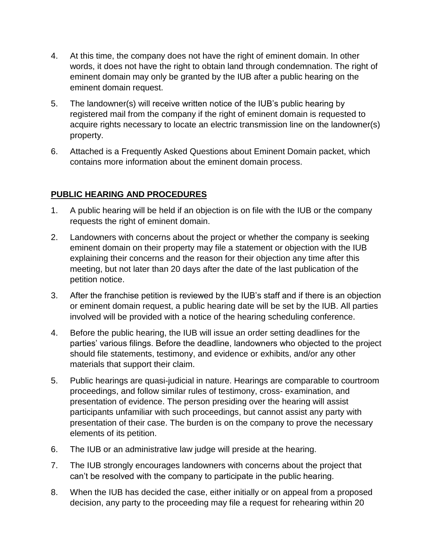- 4. At this time, the company does not have the right of eminent domain. In other words, it does not have the right to obtain land through condemnation. The right of eminent domain may only be granted by the IUB after a public hearing on the eminent domain request.
- 5. The landowner(s) will receive written notice of the IUB's public hearing by registered mail from the company if the right of eminent domain is requested to acquire rights necessary to locate an electric transmission line on the landowner(s) property.
- 6. Attached is a Frequently Asked Questions about Eminent Domain packet, which contains more information about the eminent domain process.

### **PUBLIC HEARING AND PROCEDURES**

- 1. A public hearing will be held if an objection is on file with the IUB or the company requests the right of eminent domain.
- 2. Landowners with concerns about the project or whether the company is seeking eminent domain on their property may file a statement or objection with the IUB explaining their concerns and the reason for their objection any time after this meeting, but not later than 20 days after the date of the last publication of the petition notice.
- 3. After the franchise petition is reviewed by the IUB's staff and if there is an objection or eminent domain request, a public hearing date will be set by the IUB. All parties involved will be provided with a notice of the hearing scheduling conference.
- 4. Before the public hearing, the IUB will issue an order setting deadlines for the parties' various filings. Before the deadline, landowners who objected to the project should file statements, testimony, and evidence or exhibits, and/or any other materials that support their claim.
- 5. Public hearings are quasi-judicial in nature. Hearings are comparable to courtroom proceedings, and follow similar rules of testimony, cross- examination, and presentation of evidence. The person presiding over the hearing will assist participants unfamiliar with such proceedings, but cannot assist any party with presentation of their case. The burden is on the company to prove the necessary elements of its petition.
- 6. The IUB or an administrative law judge will preside at the hearing.
- 7. The IUB strongly encourages landowners with concerns about the project that can't be resolved with the company to participate in the public hearing.
- 8. When the IUB has decided the case, either initially or on appeal from a proposed decision, any party to the proceeding may file a request for rehearing within 20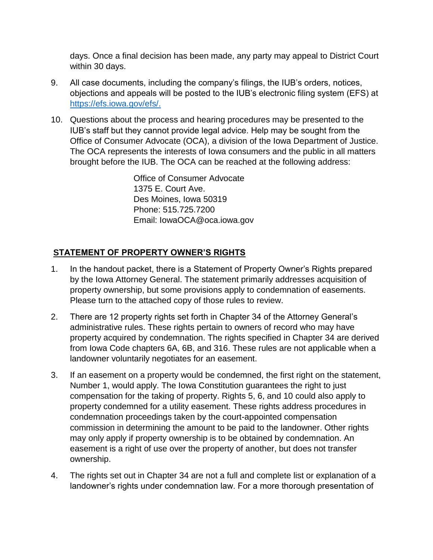days. Once a final decision has been made, any party may appeal to District Court within 30 days.

- 9. All case documents, including the company's filings, the IUB's orders, notices, objections and appeals will be posted to the IUB's electronic filing system (EFS) at [https://efs.iowa.gov/efs/.](https://efs.iowa.gov/efs/)
- 10. Questions about the process and hearing procedures may be presented to the IUB's staff but they cannot provide legal advice. Help may be sought from the Office of Consumer Advocate (OCA), a division of the Iowa Department of Justice. The OCA represents the interests of Iowa consumers and the public in all matters brought before the IUB. The OCA can be reached at the following address:

Office of Consumer Advocate 1375 E. Court Ave. Des Moines, Iowa 50319 Phone: 515.725.7200 Email: IowaOCA@oca.iowa.gov

## **STATEMENT OF PROPERTY OWNER'S RIGHTS**

- 1. In the handout packet, there is a Statement of Property Owner's Rights prepared by the Iowa Attorney General. The statement primarily addresses acquisition of property ownership, but some provisions apply to condemnation of easements. Please turn to the attached copy of those rules to review.
- 2. There are 12 property rights set forth in Chapter 34 of the Attorney General's administrative rules. These rights pertain to owners of record who may have property acquired by condemnation. The rights specified in Chapter 34 are derived from Iowa Code chapters 6A, 6B, and 316. These rules are not applicable when a landowner voluntarily negotiates for an easement.
- 3. If an easement on a property would be condemned, the first right on the statement, Number 1, would apply. The Iowa Constitution guarantees the right to just compensation for the taking of property. Rights 5, 6, and 10 could also apply to property condemned for a utility easement. These rights address procedures in condemnation proceedings taken by the court-appointed compensation commission in determining the amount to be paid to the landowner. Other rights may only apply if property ownership is to be obtained by condemnation. An easement is a right of use over the property of another, but does not transfer ownership.
- 4. The rights set out in Chapter 34 are not a full and complete list or explanation of a landowner's rights under condemnation law. For a more thorough presentation of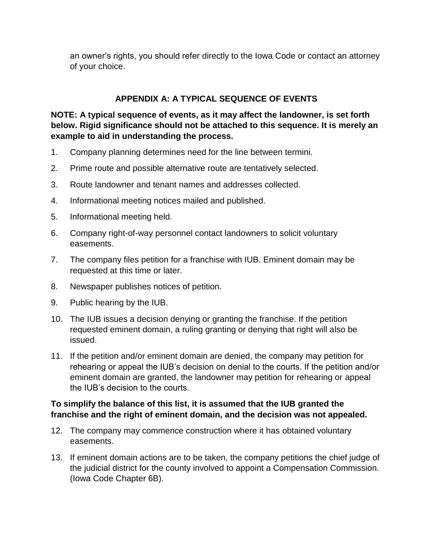an owner's rights, you should refer directly to the Iowa Code or contact an attorney of your choice.

### **APPENDIX A: A TYPICAL SEQUENCE OF EVENTS**

**NOTE: A typical sequence of events, as it may affect the landowner, is set forth below. Rigid significance should not be attached to this sequence. It is merely an example to aid in understanding the process.**

- 1. Company planning determines need for the line between termini.
- 2. Prime route and possible alternative route are tentatively selected.
- 3. Route landowner and tenant names and addresses collected.
- 4. Informational meeting notices mailed and published.
- 5. Informational meeting held.
- 6. Company right-of-way personnel contact landowners to solicit voluntary easements.
- 7. The company files petition for a franchise with IUB. Eminent domain may be requested at this time or later.
- 8. Newspaper publishes notices of petition.
- 9. Public hearing by the IUB.
- 10. The IUB issues a decision denying or granting the franchise. If the petition requested eminent domain, a ruling granting or denying that right will also be issued.
- 11. If the petition and/or eminent domain are denied, the company may petition for rehearing or appeal the IUB's decision on denial to the courts. If the petition and/or eminent domain are granted, the landowner may petition for rehearing or appeal the IUB's decision to the courts.

#### **To simplify the balance of this list, it is assumed that the IUB granted the franchise and the right of eminent domain, and the decision was not appealed.**

- 12. The company may commence construction where it has obtained voluntary easements.
- 13. If eminent domain actions are to be taken, the company petitions the chief judge of the judicial district for the county involved to appoint a Compensation Commission. (Iowa Code Chapter 6B).